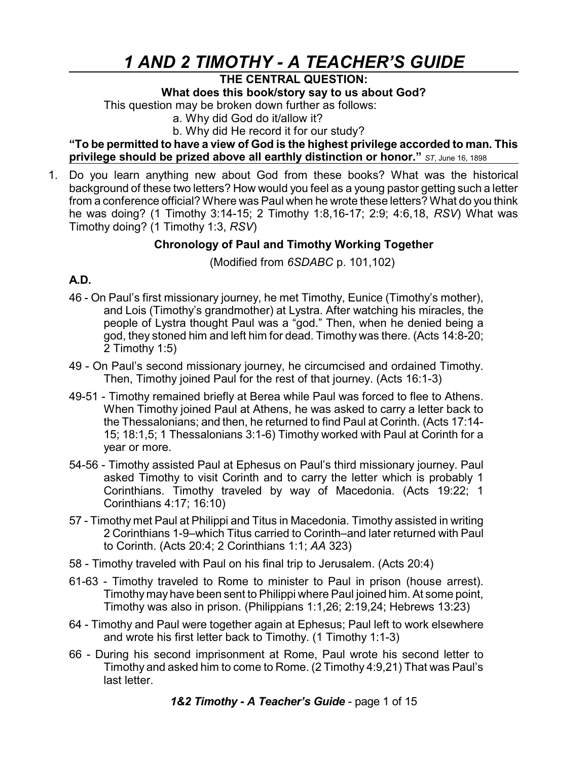# *1 AND 2 TIMOTHY - A TEACHER'S GUIDE*

## **THE CENTRAL QUESTION:**

**What does this book/story say to us about God?**

This question may be broken down further as follows:

a. Why did God do it/allow it?

b. Why did He record it for our study?

**"To be permitted to have a view of God is the highest privilege accorded to man. This privilege should be prized above all earthly distinction or honor."** *ST*, June 16, <sup>1898</sup>

1. Do you learn anything new about God from these books? What was the historical background of these two letters? How would you feel as a young pastor getting such a letter from a conference official? Where was Paul when he wrote these letters? What do you think he was doing? (1 Timothy 3:14-15; 2 Timothy 1:8,16-17; 2:9; 4:6,18, *RSV*) What was Timothy doing? (1 Timothy 1:3, *RSV*)

# **Chronology of Paul and Timothy Working Together**

(Modified from *6SDABC* p. 101,102)

# **A.D.**

- 46 On Paul's first missionary journey, he met Timothy, Eunice (Timothy's mother), and Lois (Timothy's grandmother) at Lystra. After watching his miracles, the people of Lystra thought Paul was a "god." Then, when he denied being a god, they stoned him and left him for dead. Timothy was there. (Acts 14:8-20; 2 Timothy 1:5)
- 49 On Paul's second missionary journey, he circumcised and ordained Timothy. Then, Timothy joined Paul for the rest of that journey. (Acts 16:1-3)
- 49-51 Timothy remained briefly at Berea while Paul was forced to flee to Athens. When Timothy joined Paul at Athens, he was asked to carry a letter back to the Thessalonians; and then, he returned to find Paul at Corinth. (Acts 17:14- 15; 18:1,5; 1 Thessalonians 3:1-6) Timothy worked with Paul at Corinth for a year or more.
- 54-56 Timothy assisted Paul at Ephesus on Paul's third missionary journey. Paul asked Timothy to visit Corinth and to carry the letter which is probably 1 Corinthians. Timothy traveled by way of Macedonia. (Acts 19:22; 1 Corinthians 4:17; 16:10)
- 57 Timothy met Paul at Philippi and Titus in Macedonia. Timothy assisted in writing 2 Corinthians 1-9–which Titus carried to Corinth–and later returned with Paul to Corinth. (Acts 20:4; 2 Corinthians 1:1; *AA* 323)
- 58 Timothy traveled with Paul on his final trip to Jerusalem. (Acts 20:4)
- 61-63 Timothy traveled to Rome to minister to Paul in prison (house arrest). Timothy may have been sent to Philippi where Paul joined him. At some point, Timothy was also in prison. (Philippians 1:1,26; 2:19,24; Hebrews 13:23)
- 64 Timothy and Paul were together again at Ephesus; Paul left to work elsewhere and wrote his first letter back to Timothy. (1 Timothy 1:1-3)
- 66 During his second imprisonment at Rome, Paul wrote his second letter to Timothy and asked him to come to Rome. (2 Timothy 4:9,21) That was Paul's last letter.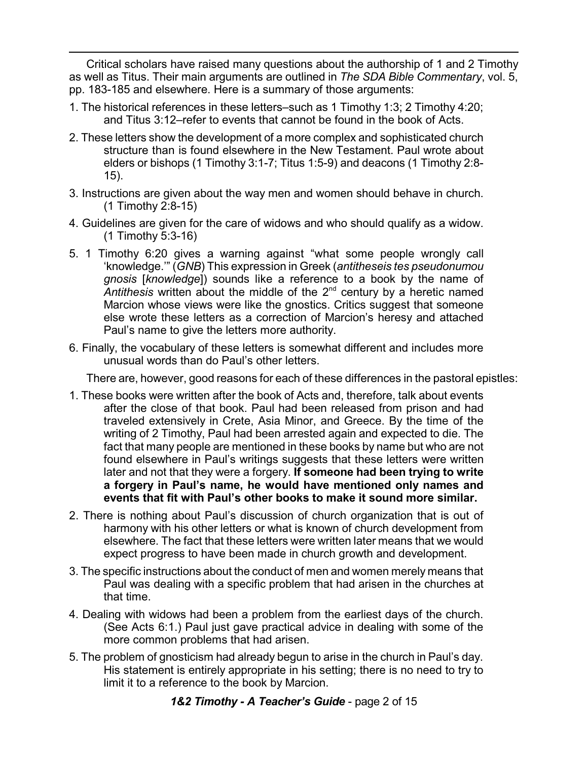Critical scholars have raised many questions about the authorship of 1 and 2 Timothy as well as Titus. Their main arguments are outlined in *The SDA Bible Commentary*, vol. 5, pp. 183-185 and elsewhere. Here is a summary of those arguments:

- 1. The historical references in these letters–such as 1 Timothy 1:3; 2 Timothy 4:20; and Titus 3:12–refer to events that cannot be found in the book of Acts.
- 2. These letters show the development of a more complex and sophisticated church structure than is found elsewhere in the New Testament. Paul wrote about elders or bishops (1 Timothy 3:1-7; Titus 1:5-9) and deacons (1 Timothy 2:8- 15).
- 3. Instructions are given about the way men and women should behave in church. (1 Timothy 2:8-15)
- 4. Guidelines are given for the care of widows and who should qualify as a widow. (1 Timothy 5:3-16)
- 5. 1 Timothy 6:20 gives a warning against "what some people wrongly call 'knowledge.'" (*GNB*) This expression in Greek (*antitheseis tes pseudonumou gnosis* [*knowledge*]) sounds like a reference to a book by the name of Antithesis written about the middle of the 2<sup>nd</sup> century by a heretic named Marcion whose views were like the gnostics. Critics suggest that someone else wrote these letters as a correction of Marcion's heresy and attached Paul's name to give the letters more authority.
- 6. Finally, the vocabulary of these letters is somewhat different and includes more unusual words than do Paul's other letters.

There are, however, good reasons for each of these differences in the pastoral epistles:

- 1. These books were written after the book of Acts and, therefore, talk about events after the close of that book. Paul had been released from prison and had traveled extensively in Crete, Asia Minor, and Greece. By the time of the writing of 2 Timothy, Paul had been arrested again and expected to die. The fact that many people are mentioned in these books by name but who are not found elsewhere in Paul's writings suggests that these letters were written later and not that they were a forgery. **If someone had been trying to write a forgery in Paul's name, he would have mentioned only names and events that fit with Paul's other books to make it sound more similar.**
- 2. There is nothing about Paul's discussion of church organization that is out of harmony with his other letters or what is known of church development from elsewhere. The fact that these letters were written later means that we would expect progress to have been made in church growth and development.
- 3. The specific instructions about the conduct of men and women merely means that Paul was dealing with a specific problem that had arisen in the churches at that time.
- 4. Dealing with widows had been a problem from the earliest days of the church. (See Acts 6:1.) Paul just gave practical advice in dealing with some of the more common problems that had arisen.
- 5. The problem of gnosticism had already begun to arise in the church in Paul's day. His statement is entirely appropriate in his setting; there is no need to try to limit it to a reference to the book by Marcion.

*1&2 Timothy - A Teacher's Guide* - page 2 of 15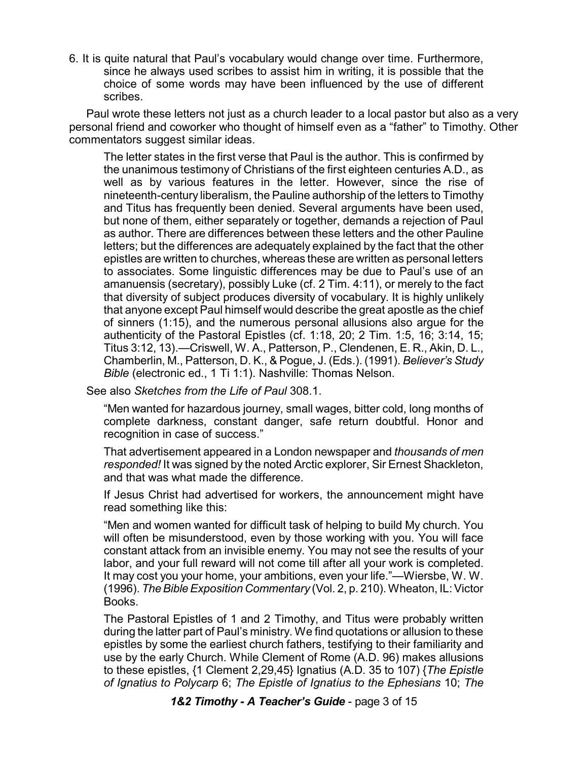6. It is quite natural that Paul's vocabulary would change over time. Furthermore, since he always used scribes to assist him in writing, it is possible that the choice of some words may have been influenced by the use of different scribes.

Paul wrote these letters not just as a church leader to a local pastor but also as a very personal friend and coworker who thought of himself even as a "father" to Timothy. Other commentators suggest similar ideas.

The letter states in the first verse that Paul is the author. This is confirmed by the unanimous testimony of Christians of the first eighteen centuries A.D., as well as by various features in the letter. However, since the rise of nineteenth-century liberalism, the Pauline authorship of the letters to Timothy and Titus has frequently been denied. Several arguments have been used, but none of them, either separately or together, demands a rejection of Paul as author. There are differences between these letters and the other Pauline letters; but the differences are adequately explained by the fact that the other epistles are written to churches, whereas these are written as personal letters to associates. Some linguistic differences may be due to Paul's use of an amanuensis (secretary), possibly Luke (cf. 2 Tim. 4:11), or merely to the fact that diversity of subject produces diversity of vocabulary. It is highly unlikely that anyone except Paul himself would describe the great apostle as the chief of sinners (1:15), and the numerous personal allusions also argue for the authenticity of the Pastoral Epistles (cf. 1:18, 20; 2 Tim. 1:5, 16; 3:14, 15; Titus 3:12, 13).—Criswell, W. A., Patterson, P., Clendenen, E. R., Akin, D. L., Chamberlin, M., Patterson, D. K., & Pogue, J. (Eds.). (1991). *Believer's Study Bible* (electronic ed., 1 Ti 1:1). Nashville: Thomas Nelson.

See also *Sketches from the Life of Paul* 308.1.

"Men wanted for hazardous journey, small wages, bitter cold, long months of complete darkness, constant danger, safe return doubtful. Honor and recognition in case of success."

That advertisement appeared in a London newspaper and *thousands of men responded!* It was signed by the noted Arctic explorer, Sir Ernest Shackleton, and that was what made the difference.

If Jesus Christ had advertised for workers, the announcement might have read something like this:

"Men and women wanted for difficult task of helping to build My church. You will often be misunderstood, even by those working with you. You will face constant attack from an invisible enemy. You may not see the results of your labor, and your full reward will not come till after all your work is completed. It may cost you your home, your ambitions, even your life."—Wiersbe, W. W. (1996). *TheBibleExposition Commentary* (Vol. 2, p. 210). Wheaton, IL: Victor Books.

The Pastoral Epistles of 1 and 2 Timothy, and Titus were probably written during the latter part of Paul's ministry. We find quotations or allusion to these epistles by some the earliest church fathers, testifying to their familiarity and use by the early Church. While Clement of Rome (A.D. 96) makes allusions to these epistles, {1 Clement 2,29,45} Ignatius (A.D. 35 to 107) {*The Epistle of Ignatius to Polycarp* 6; *The Epistle of Ignatius to the Ephesians* 10; *The*

*1&2 Timothy - A Teacher's Guide* - page 3 of 15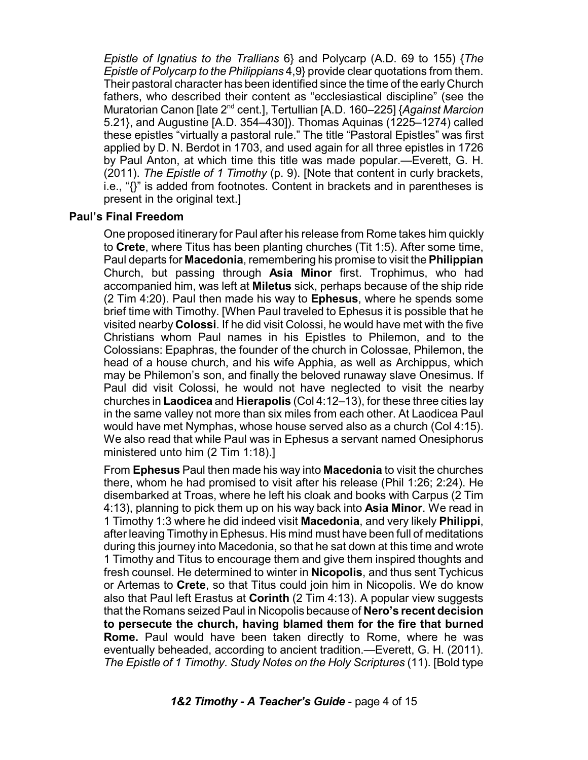*Epistle of Ignatius to the Trallians* 6} and Polycarp (A.D. 69 to 155) {*The Epistle of Polycarp to the Philippians* 4,9} provide clear quotations from them. Their pastoral character has been identified since the time of the early Church fathers, who described their content as "ecclesiastical discipline" (see the Muratorian Canon [late 2<sup>nd</sup> cent.], Tertullian [A.D. 160–225] {*Against Marcion* 5.21}, and Augustine [A.D. 354–430]). Thomas Aquinas (1225–1274) called these epistles "virtually a pastoral rule." The title "Pastoral Epistles" was first applied by D. N. Berdot in 1703, and used again for all three epistles in 1726 by Paul Anton, at which time this title was made popular.—Everett, G. H. (2011). *The Epistle of 1 Timothy* (p. 9). [Note that content in curly brackets, i.e., "{}" is added from footnotes. Content in brackets and in parentheses is present in the original text.]

#### **Paul's Final Freedom**

One proposed itinerary for Paul after his release from Rome takes him quickly to **Crete**, where Titus has been planting churches (Tit 1:5). After some time, Paul departs for **Macedonia**, remembering his promise to visit the **Philippian** Church, but passing through **Asia Minor** first. Trophimus, who had accompanied him, was left at **Miletus** sick, perhaps because of the ship ride (2 Tim 4:20). Paul then made his way to **Ephesus**, where he spends some brief time with Timothy. [When Paul traveled to Ephesus it is possible that he visited nearby **Colossi**. If he did visit Colossi, he would have met with the five Christians whom Paul names in his Epistles to Philemon, and to the Colossians: Epaphras, the founder of the church in Colossae, Philemon, the head of a house church, and his wife Apphia, as well as Archippus, which may be Philemon's son, and finally the beloved runaway slave Onesimus. If Paul did visit Colossi, he would not have neglected to visit the nearby churches in **Laodicea** and **Hierapolis** (Col 4:12–13), for these three cities lay in the same valley not more than six miles from each other. At Laodicea Paul would have met Nymphas, whose house served also as a church (Col 4:15). We also read that while Paul was in Ephesus a servant named Onesiphorus ministered unto him (2 Tim 1:18).]

From **Ephesus** Paul then made his way into **Macedonia** to visit the churches there, whom he had promised to visit after his release (Phil 1:26; 2:24). He disembarked at Troas, where he left his cloak and books with Carpus (2 Tim 4:13), planning to pick them up on his way back into **Asia Minor**. We read in 1 Timothy 1:3 where he did indeed visit **Macedonia**, and very likely **Philippi**, after leaving Timothy inEphesus. His mind must have been full of meditations during this journey into Macedonia, so that he sat down at this time and wrote 1 Timothy and Titus to encourage them and give them inspired thoughts and fresh counsel. He determined to winter in **Nicopolis**, and thus sent Tychicus or Artemas to **Crete**, so that Titus could join him in Nicopolis. We do know also that Paul left Erastus at **Corinth** (2 Tim 4:13). A popular view suggests that the Romans seized Paul in Nicopolis because of **Nero's recent decision to persecute the church, having blamed them for the fire that burned Rome.** Paul would have been taken directly to Rome, where he was eventually beheaded, according to ancient tradition.—Everett, G. H. (2011). *The Epistle of 1 Timothy. Study Notes on the Holy Scriptures* (11). [Bold type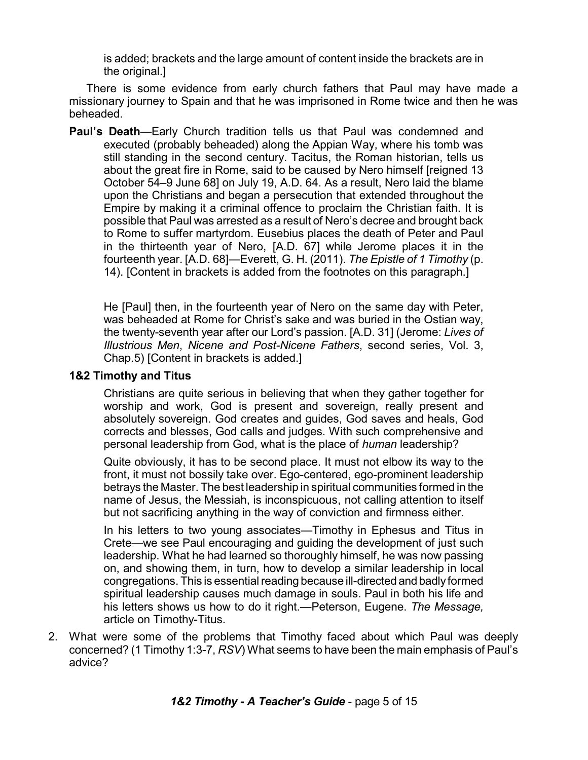is added; brackets and the large amount of content inside the brackets are in the original.]

There is some evidence from early church fathers that Paul may have made a missionary journey to Spain and that he was imprisoned in Rome twice and then he was beheaded.

**Paul's Death**—Early Church tradition tells us that Paul was condemned and executed (probably beheaded) along the Appian Way, where his tomb was still standing in the second century. Tacitus, the Roman historian, tells us about the great fire in Rome, said to be caused by Nero himself [reigned 13 October 54–9 June 68] on July 19, A.D. 64. As a result, Nero laid the blame upon the Christians and began a persecution that extended throughout the Empire by making it a criminal offence to proclaim the Christian faith. It is possible that Paul was arrested as a result of Nero's decree and brought back to Rome to suffer martyrdom. Eusebius places the death of Peter and Paul in the thirteenth year of Nero, [A.D. 67] while Jerome places it in the fourteenth year. [A.D. 68]—Everett, G. H. (2011). *The Epistle of 1 Timothy* (p. 14). [Content in brackets is added from the footnotes on this paragraph.]

He [Paul] then, in the fourteenth year of Nero on the same day with Peter, was beheaded at Rome for Christ's sake and was buried in the Ostian way, the twenty-seventh year after our Lord's passion. [A.D. 31] (Jerome: *Lives of Illustrious Men*, *Nicene and Post-Nicene Fathers*, second series, Vol. 3, Chap.5) [Content in brackets is added.]

#### **1&2 Timothy and Titus**

Christians are quite serious in believing that when they gather together for worship and work, God is present and sovereign, really present and absolutely sovereign. God creates and guides, God saves and heals, God corrects and blesses, God calls and judges. With such comprehensive and personal leadership from God, what is the place of *human* leadership?

Quite obviously, it has to be second place. It must not elbow its way to the front, it must not bossily take over. Ego-centered, ego-prominent leadership betrays the Master. The best leadership in spiritual communities formed in the name of Jesus, the Messiah, is inconspicuous, not calling attention to itself but not sacrificing anything in the way of conviction and firmness either.

In his letters to two young associates—Timothy in Ephesus and Titus in Crete—we see Paul encouraging and guiding the development of just such leadership. What he had learned so thoroughly himself, he was now passing on, and showing them, in turn, how to develop a similar leadership in local congregations. This is essential reading because ill-directed and badly formed spiritual leadership causes much damage in souls. Paul in both his life and his letters shows us how to do it right.—Peterson, Eugene. *The Message,* article on Timothy-Titus.

2. What were some of the problems that Timothy faced about which Paul was deeply concerned? (1 Timothy 1:3-7, *RSV*) What seems to have been the main emphasis of Paul's advice?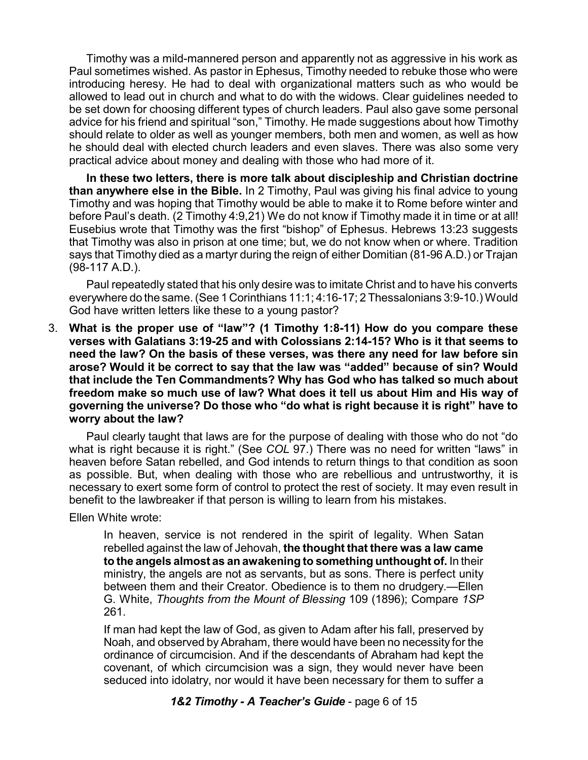Timothy was a mild-mannered person and apparently not as aggressive in his work as Paul sometimes wished. As pastor in Ephesus, Timothy needed to rebuke those who were introducing heresy. He had to deal with organizational matters such as who would be allowed to lead out in church and what to do with the widows. Clear guidelines needed to be set down for choosing different types of church leaders. Paul also gave some personal advice for his friend and spiritual "son," Timothy. He made suggestions about how Timothy should relate to older as well as younger members, both men and women, as well as how he should deal with elected church leaders and even slaves. There was also some very practical advice about money and dealing with those who had more of it.

**In these two letters, there is more talk about discipleship and Christian doctrine than anywhere else in the Bible.** In 2 Timothy, Paul was giving his final advice to young Timothy and was hoping that Timothy would be able to make it to Rome before winter and before Paul's death. (2 Timothy 4:9,21) We do not know if Timothy made it in time or at all! Eusebius wrote that Timothy was the first "bishop" of Ephesus. Hebrews 13:23 suggests that Timothy was also in prison at one time; but, we do not know when or where. Tradition says that Timothy died as a martyr during the reign of either Domitian (81-96 A.D.) or Trajan (98-117 A.D.).

Paul repeatedly stated that his only desire was to imitate Christ and to have his converts everywhere do the same. (See 1 Corinthians 11:1; 4:16-17; 2 Thessalonians 3:9-10.) Would God have written letters like these to a young pastor?

3. **What is the proper use of "law"? (1 Timothy 1:8-11) How do you compare these verses with Galatians 3:19-25 and with Colossians 2:14-15? Who is it that seems to need the law? On the basis of these verses, was there any need for law before sin arose? Would it be correct to say that the law was "added" because of sin? Would that include the Ten Commandments? Why has God who has talked so much about freedom make so much use of law? What does it tell us about Him and His way of governing the universe? Do those who "do what is right because it is right" have to worry about the law?**

Paul clearly taught that laws are for the purpose of dealing with those who do not "do what is right because it is right." (See *COL* 97.) There was no need for written "laws" in heaven before Satan rebelled, and God intends to return things to that condition as soon as possible. But, when dealing with those who are rebellious and untrustworthy, it is necessary to exert some form of control to protect the rest of society. It may even result in benefit to the lawbreaker if that person is willing to learn from his mistakes.

Ellen White wrote:

In heaven, service is not rendered in the spirit of legality. When Satan rebelled against the law of Jehovah, **the thought that there was a law came to the angels almost as an awakening to something unthought of.** In their ministry, the angels are not as servants, but as sons. There is perfect unity between them and their Creator. Obedience is to them no drudgery.—Ellen G. White, *Thoughts from the Mount of Blessing* 109 (1896); Compare *1SP* 261.

If man had kept the law of God, as given to Adam after his fall, preserved by Noah, and observed by Abraham, there would have been no necessity for the ordinance of circumcision. And if the descendants of Abraham had kept the covenant, of which circumcision was a sign, they would never have been seduced into idolatry, nor would it have been necessary for them to suffer a

*1&2 Timothy - A Teacher's Guide* - page 6 of 15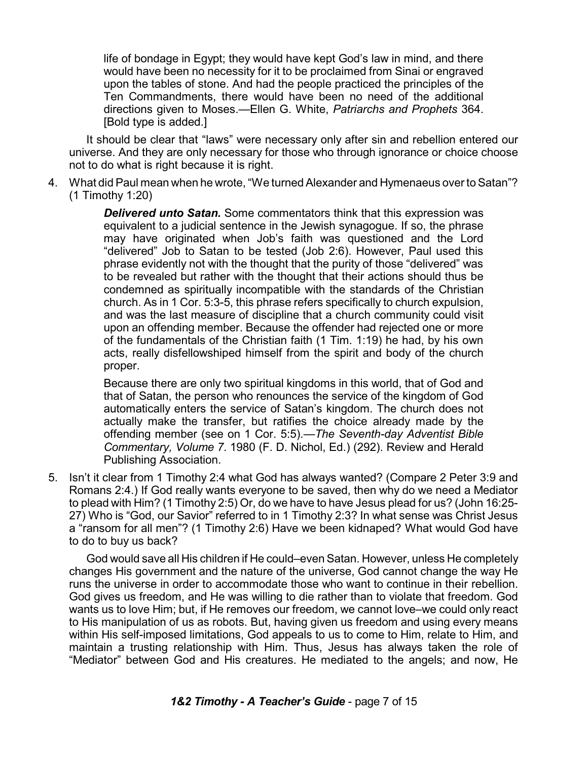life of bondage in Egypt; they would have kept God's law in mind, and there would have been no necessity for it to be proclaimed from Sinai or engraved upon the tables of stone. And had the people practiced the principles of the Ten Commandments, there would have been no need of the additional directions given to Moses.—Ellen G. White, *Patriarchs and Prophets* 364. [Bold type is added.]

It should be clear that "laws" were necessary only after sin and rebellion entered our universe. And they are only necessary for those who through ignorance or choice choose not to do what is right because it is right.

4. What did Paul mean when he wrote, "We turned Alexander and Hymenaeus over to Satan"? (1 Timothy 1:20)

> *Delivered unto Satan.* Some commentators think that this expression was equivalent to a judicial sentence in the Jewish synagogue. If so, the phrase may have originated when Job's faith was questioned and the Lord "delivered" Job to Satan to be tested (Job 2:6). However, Paul used this phrase evidently not with the thought that the purity of those "delivered" was to be revealed but rather with the thought that their actions should thus be condemned as spiritually incompatible with the standards of the Christian church. As in 1 Cor. 5:3-5, this phrase refers specifically to church expulsion, and was the last measure of discipline that a church community could visit upon an offending member. Because the offender had rejected one or more of the fundamentals of the Christian faith (1 Tim. 1:19) he had, by his own acts, really disfellowshiped himself from the spirit and body of the church proper.

> Because there are only two spiritual kingdoms in this world, that of God and that of Satan, the person who renounces the service of the kingdom of God automatically enters the service of Satan's kingdom. The church does not actually make the transfer, but ratifies the choice already made by the offending member (see on 1 Cor. 5:5).—*The Seventh-day Adventist Bible Commentary, Volume 7*. 1980 (F. D. Nichol, Ed.) (292). Review and Herald Publishing Association.

5. Isn't it clear from 1 Timothy 2:4 what God has always wanted? (Compare 2 Peter 3:9 and Romans 2:4.) If God really wants everyone to be saved, then why do we need a Mediator to plead with Him? (1 Timothy 2:5) Or, do we have to have Jesus plead for us? (John 16:25- 27) Who is "God, our Savior" referred to in 1 Timothy 2:3? In what sense was Christ Jesus a "ransom for all men"? (1 Timothy 2:6) Have we been kidnaped? What would God have to do to buy us back?

God would save all His children if He could–even Satan. However, unless He completely changes His government and the nature of the universe, God cannot change the way He runs the universe in order to accommodate those who want to continue in their rebellion. God gives us freedom, and He was willing to die rather than to violate that freedom. God wants us to love Him; but, if He removes our freedom, we cannot love–we could only react to His manipulation of us as robots. But, having given us freedom and using every means within His self-imposed limitations, God appeals to us to come to Him, relate to Him, and maintain a trusting relationship with Him. Thus, Jesus has always taken the role of "Mediator" between God and His creatures. He mediated to the angels; and now, He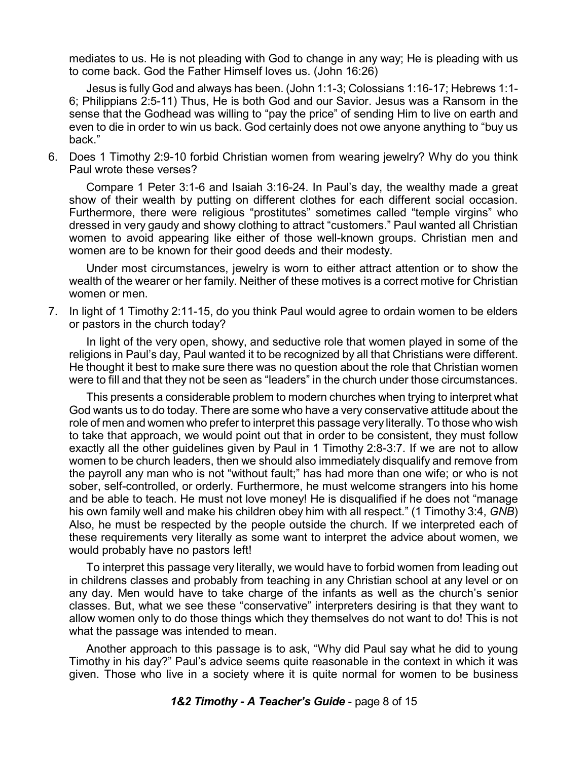mediates to us. He is not pleading with God to change in any way; He is pleading with us to come back. God the Father Himself loves us. (John 16:26)

Jesus is fully God and always has been. (John 1:1-3; Colossians 1:16-17; Hebrews 1:1- 6; Philippians 2:5-11) Thus, He is both God and our Savior. Jesus was a Ransom in the sense that the Godhead was willing to "pay the price" of sending Him to live on earth and even to die in order to win us back. God certainly does not owe anyone anything to "buy us back."

6. Does 1 Timothy 2:9-10 forbid Christian women from wearing jewelry? Why do you think Paul wrote these verses?

Compare 1 Peter 3:1-6 and Isaiah 3:16-24. In Paul's day, the wealthy made a great show of their wealth by putting on different clothes for each different social occasion. Furthermore, there were religious "prostitutes" sometimes called "temple virgins" who dressed in very gaudy and showy clothing to attract "customers." Paul wanted all Christian women to avoid appearing like either of those well-known groups. Christian men and women are to be known for their good deeds and their modesty.

Under most circumstances, jewelry is worn to either attract attention or to show the wealth of the wearer or her family. Neither of these motives is a correct motive for Christian women or men.

7. In light of 1 Timothy 2:11-15, do you think Paul would agree to ordain women to be elders or pastors in the church today?

In light of the very open, showy, and seductive role that women played in some of the religions in Paul's day, Paul wanted it to be recognized by all that Christians were different. He thought it best to make sure there was no question about the role that Christian women were to fill and that they not be seen as "leaders" in the church under those circumstances.

This presents a considerable problem to modern churches when trying to interpret what God wants us to do today. There are some who have a very conservative attitude about the role of men and women who prefer to interpret this passage very literally. To those who wish to take that approach, we would point out that in order to be consistent, they must follow exactly all the other guidelines given by Paul in 1 Timothy 2:8-3:7. If we are not to allow women to be church leaders, then we should also immediately disqualify and remove from the payroll any man who is not "without fault;" has had more than one wife; or who is not sober, self-controlled, or orderly. Furthermore, he must welcome strangers into his home and be able to teach. He must not love money! He is disqualified if he does not "manage his own family well and make his children obey him with all respect." (1 Timothy 3:4, *GNB*) Also, he must be respected by the people outside the church. If we interpreted each of these requirements very literally as some want to interpret the advice about women, we would probably have no pastors left!

To interpret this passage very literally, we would have to forbid women from leading out in childrens classes and probably from teaching in any Christian school at any level or on any day. Men would have to take charge of the infants as well as the church's senior classes. But, what we see these "conservative" interpreters desiring is that they want to allow women only to do those things which they themselves do not want to do! This is not what the passage was intended to mean.

Another approach to this passage is to ask, "Why did Paul say what he did to young Timothy in his day?" Paul's advice seems quite reasonable in the context in which it was given. Those who live in a society where it is quite normal for women to be business

*1&2 Timothy - A Teacher's Guide* - page 8 of 15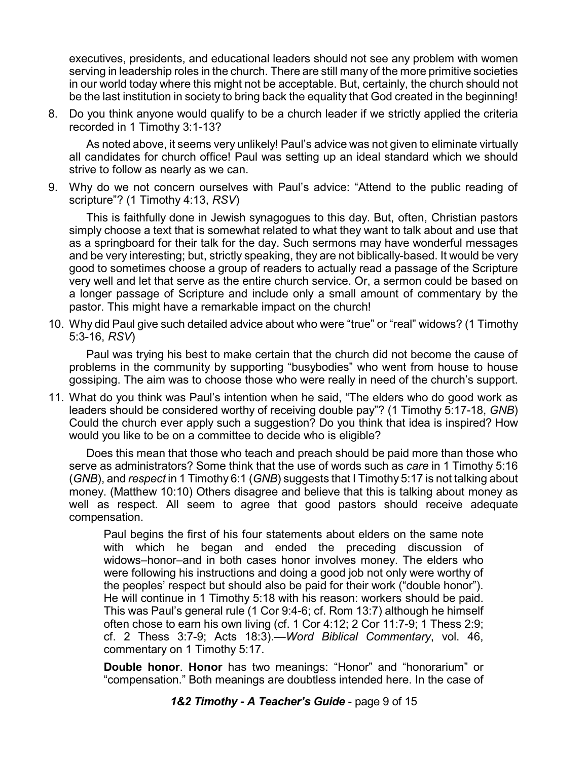executives, presidents, and educational leaders should not see any problem with women serving in leadership roles in the church. There are still many of the more primitive societies in our world today where this might not be acceptable. But, certainly, the church should not be the last institution in society to bring back the equality that God created in the beginning!

8. Do you think anyone would qualify to be a church leader if we strictly applied the criteria recorded in 1 Timothy 3:1-13?

As noted above, it seems very unlikely! Paul's advice was not given to eliminate virtually all candidates for church office! Paul was setting up an ideal standard which we should strive to follow as nearly as we can.

9. Why do we not concern ourselves with Paul's advice: "Attend to the public reading of scripture"? (1 Timothy 4:13, *RSV*)

This is faithfully done in Jewish synagogues to this day. But, often, Christian pastors simply choose a text that is somewhat related to what they want to talk about and use that as a springboard for their talk for the day. Such sermons may have wonderful messages and be very interesting; but, strictly speaking, they are not biblically-based. It would be very good to sometimes choose a group of readers to actually read a passage of the Scripture very well and let that serve as the entire church service. Or, a sermon could be based on a longer passage of Scripture and include only a small amount of commentary by the pastor. This might have a remarkable impact on the church!

10. Why did Paul give such detailed advice about who were "true" or "real" widows? (1 Timothy 5:3-16, *RSV*)

Paul was trying his best to make certain that the church did not become the cause of problems in the community by supporting "busybodies" who went from house to house gossiping. The aim was to choose those who were really in need of the church's support.

11. What do you think was Paul's intention when he said, "The elders who do good work as leaders should be considered worthy of receiving double pay"? (1 Timothy 5:17-18, *GNB*) Could the church ever apply such a suggestion? Do you think that idea is inspired? How would you like to be on a committee to decide who is eligible?

Does this mean that those who teach and preach should be paid more than those who serve as administrators? Some think that the use of words such as *care* in 1 Timothy 5:16 (*GNB*), and *respect* in 1 Timothy 6:1 (*GNB*) suggests that I Timothy 5:17 is not talking about money. (Matthew 10:10) Others disagree and believe that this is talking about money as well as respect. All seem to agree that good pastors should receive adequate compensation.

Paul begins the first of his four statements about elders on the same note with which he began and ended the preceding discussion of widows–honor–and in both cases honor involves money. The elders who were following his instructions and doing a good job not only were worthy of the peoples' respect but should also be paid for their work ("double honor"). He will continue in 1 Timothy 5:18 with his reason: workers should be paid. This was Paul's general rule (1 Cor 9:4-6; cf. Rom 13:7) although he himself often chose to earn his own living (cf. 1 Cor 4:12; 2 Cor 11:7-9; 1 Thess 2:9; cf. 2 Thess 3:7-9; Acts 18:3).—*Word Biblical Commentary*, vol. 46, commentary on 1 Timothy 5:17.

**Double honor**. **Honor** has two meanings: "Honor" and "honorarium" or "compensation." Both meanings are doubtless intended here. In the case of

*1&2 Timothy - A Teacher's Guide* - page 9 of 15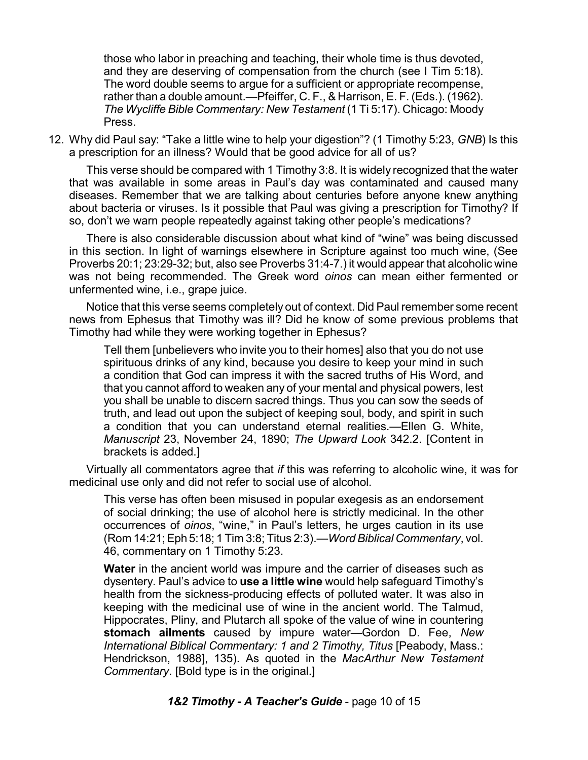those who labor in preaching and teaching, their whole time is thus devoted, and they are deserving of compensation from the church (see I Tim 5:18). The word double seems to argue for a sufficient or appropriate recompense, rather than a double amount.—Pfeiffer, C. F., & Harrison, E. F. (Eds.). (1962). *The Wycliffe Bible Commentary: New Testament* (1 Ti 5:17). Chicago: Moody Press.

12. Why did Paul say: "Take a little wine to help your digestion"? (1 Timothy 5:23, *GNB*) Is this a prescription for an illness? Would that be good advice for all of us?

This verse should be compared with 1 Timothy 3:8. It is widely recognized that the water that was available in some areas in Paul's day was contaminated and caused many diseases. Remember that we are talking about centuries before anyone knew anything about bacteria or viruses. Is it possible that Paul was giving a prescription for Timothy? If so, don't we warn people repeatedly against taking other people's medications?

There is also considerable discussion about what kind of "wine" was being discussed in this section. In light of warnings elsewhere in Scripture against too much wine, (See Proverbs 20:1; 23:29-32; but, also see Proverbs 31:4-7.) it would appear that alcoholic wine was not being recommended. The Greek word *oinos* can mean either fermented or unfermented wine, i.e., grape juice.

Notice that this verse seems completely out of context. Did Paul remember some recent news from Ephesus that Timothy was ill? Did he know of some previous problems that Timothy had while they were working together in Ephesus?

Tell them [unbelievers who invite you to their homes] also that you do not use spirituous drinks of any kind, because you desire to keep your mind in such a condition that God can impress it with the sacred truths of His Word, and that you cannot afford to weaken any of your mental and physical powers, lest you shall be unable to discern sacred things. Thus you can sow the seeds of truth, and lead out upon the subject of keeping soul, body, and spirit in such a condition that you can understand eternal realities.—Ellen G. White, *Manuscript* 23, November 24, 1890; *The Upward Look* 342.2. [Content in brackets is added.]

Virtually all commentators agree that *if* this was referring to alcoholic wine, it was for medicinal use only and did not refer to social use of alcohol.

This verse has often been misused in popular exegesis as an endorsement of social drinking; the use of alcohol here is strictly medicinal. In the other occurrences of *ïinïs*, "wine," in Paul's letters, he urges caution in its use (Rom 14:21; Eph 5:18; 1 Tim 3:8; Titus 2:3).—*WordBiblical Commentary*, vol. 46, commentary on 1 Timothy 5:23.

**Water** in the ancient world was impure and the carrier of diseases such as dysentery. Paul's advice to **use a little wine** would help safeguard Timothy's health from the sickness-producing effects of polluted water. It was also in keeping with the medicinal use of wine in the ancient world. The Talmud, Hippocrates, Pliny, and Plutarch all spoke of the value of wine in countering **stomach ailments** caused by impure water—Gordon D. Fee, *New International Biblical Commentary: 1 and 2 Timothy, Titus* [Peabody, Mass.: Hendrickson, 1988], 135). As quoted in the *MacArthur New Testament Commentary*. [Bold type is in the original.]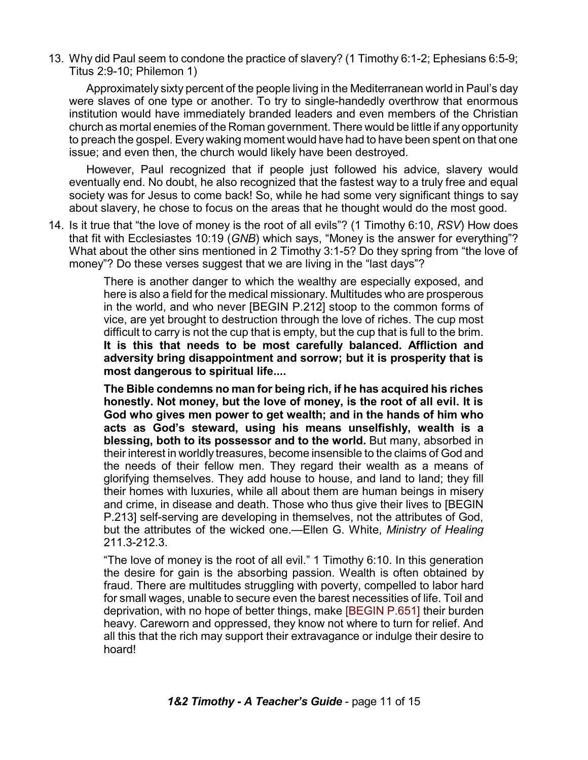13. Why did Paul seem to condone the practice of slavery? (1 Timothy 6:1-2; Ephesians 6:5-9; Titus 2:9-10; Philemon 1)

Approximately sixty percent of the people living in the Mediterranean world in Paul's day were slaves of one type or another. To try to single-handedly overthrow that enormous institution would have immediately branded leaders and even members of the Christian church as mortal enemies of the Roman government. There would be little if any opportunity to preach the gospel. Every waking moment would have had to have been spent on that one issue; and even then, the church would likely have been destroyed.

However, Paul recognized that if people just followed his advice, slavery would eventually end. No doubt, he also recognized that the fastest way to a truly free and equal society was for Jesus to come back! So, while he had some very significant things to say about slavery, he chose to focus on the areas that he thought would do the most good.

14. Is it true that "the love of money is the root of all evils"? (1 Timothy 6:10, *RSV*) How does that fit with Ecclesiastes 10:19 (*GNB*) which says, "Money is the answer for everything"? What about the other sins mentioned in 2 Timothy 3:1-5? Do they spring from "the love of money"? Do these verses suggest that we are living in the "last days"?

> There is another danger to which the wealthy are especially exposed, and here is also a field for the medical missionary. Multitudes who are prosperous in the world, and who never [BEGIN P.212] stoop to the common forms of vice, are yet brought to destruction through the love of riches. The cup most difficult to carry is not the cup that is empty, but the cup that is full to the brim. **It is this that needs to be most carefully balanced. Affliction and adversity bring disappointment and sorrow; but it is prosperity that is most dangerous to spiritual life....**

> **The Bible condemns no man for being rich, if he has acquired his riches honestly. Not money, but the love of money, is the root of all evil. It is God who gives men power to get wealth; and in the hands of him who acts as God's steward, using his means unselfishly, wealth is a blessing, both to its possessor and to the world.** But many, absorbed in their interest in worldly treasures, become insensible to the claims of God and the needs of their fellow men. They regard their wealth as a means of glorifying themselves. They add house to house, and land to land; they fill their homes with luxuries, while all about them are human beings in misery and crime, in disease and death. Those who thus give their lives to [BEGIN P.213] self-serving are developing in themselves, not the attributes of God, but the attributes of the wicked one.—Ellen G. White, *Ministry of Healing* 211.3-212.3.

> "The love of money is the root of all evil." 1 Timothy 6:10. In this generation the desire for gain is the absorbing passion. Wealth is often obtained by fraud. There are multitudes struggling with poverty, compelled to labor hard for small wages, unable to secure even the barest necessities of life. Toil and deprivation, with no hope of better things, make [BEGIN P.651] their burden heavy. Careworn and oppressed, they know not where to turn for relief. And all this that the rich may support their extravagance or indulge their desire to hoard!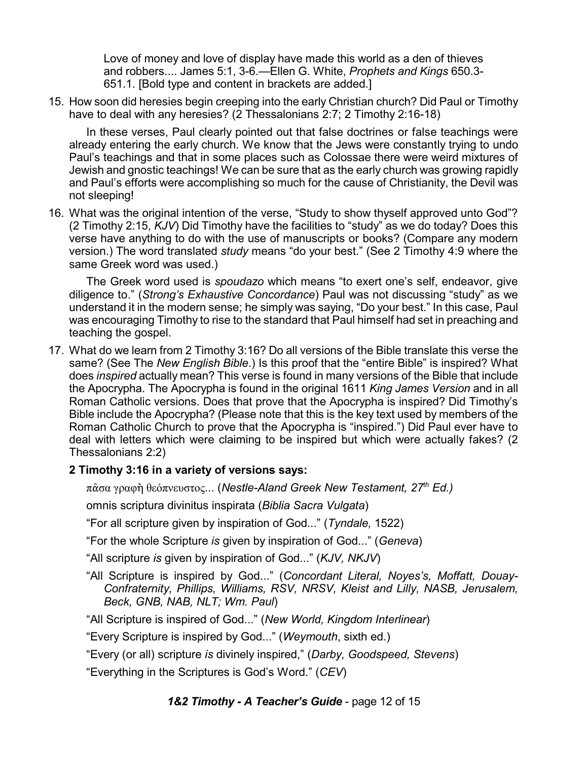Love of money and love of display have made this world as a den of thieves and robbers.... James 5:1, 3-6.—Ellen G. White, *Prophets and Kings* 650.3- 651.1. [Bold type and content in brackets are added.]

15. How soon did heresies begin creeping into the early Christian church? Did Paul or Timothy have to deal with any heresies? (2 Thessalonians 2:7; 2 Timothy 2:16-18)

In these verses, Paul clearly pointed out that false doctrines or false teachings were already entering the early church. We know that the Jews were constantly trying to undo Paul's teachings and that in some places such as Colossae there were weird mixtures of Jewish and gnostic teachings! We can be sure that as the early church was growing rapidly and Paul's efforts were accomplishing so much for the cause of Christianity, the Devil was not sleeping!

16. What was the original intention of the verse, "Study to show thyself approved unto God"? (2 Timothy 2:15, *KJV*) Did Timothy have the facilities to "study" as we do today? Does this verse have anything to do with the use of manuscripts or books? (Compare any modern version.) The word translated *study* means "do your best." (See 2 Timothy 4:9 where the same Greek word was used.)

The Greek word used is *spoudazo* which means "to exert one's self, endeavor, give diligence to." (*Strong's Exhaustive Concordance*) Paul was not discussing "study" as we understand it in the modern sense; he simply was saying, "Do your best." In this case, Paul was encouraging Timothy to rise to the standard that Paul himself had set in preaching and teaching the gospel.

17. What do we learn from 2 Timothy 3:16? Do all versions of the Bible translate this verse the same? (See The *New English Bible*.) Is this proof that the "entire Bible" is inspired? What does *inspired* actually mean? This verse is found in many versions of the Bible that include the Apocrypha. The Apocrypha is found in the original 1611 *King James Version* and in all Roman Catholic versions. Does that prove that the Apocrypha is inspired? Did Timothy's Bible include the Apocrypha? (Please note that this is the key text used by members of the Roman Catholic Church to prove that the Apocrypha is "inspired.") Did Paul ever have to deal with letters which were claiming to be inspired but which were actually fakes? (2 Thessalonians 2:2)

## **2 Timothy 3:16 in a variety of versions says:**

 $\pi$ ᾶσα γραφὴ θεόπνευστος… (Nestle-Aland Greek New Testament, 27<sup>th</sup> Ed.)

omnis scriptura divinitus inspirata (*Biblia Sacra Vulgata*)

"For all scripture given by inspiration of God..." (*Tyndale,* 1522)

"For the whole Scripture *is* given by inspiration of God..." (*Geneva*)

"All scripture *is* given by inspiration of God..." (*KJV, NKJV*)

"All Scripture is inspired by God..." (*Concordant Literal, Noyes's, Moffatt, Douay-Confraternity, Phillips, Williams, RSV, NRSV, Kleist and Lilly, NASB, Jerusalem, Beck, GNB, NAB, NLT; Wm. Paul*)

"All Scripture is inspired of God..." (*New World, Kingdom Interlinear*)

"Every Scripture is inspired by God..." (*Weymouth*, sixth ed.)

"Every (or all) scripture *is* divinely inspired," (*Darby, Goodspeed, Stevens*)

"Everything in the Scriptures is God's Word." (*CEV*)

## *1&2 Timothy - A Teacher's Guide* - page 12 of 15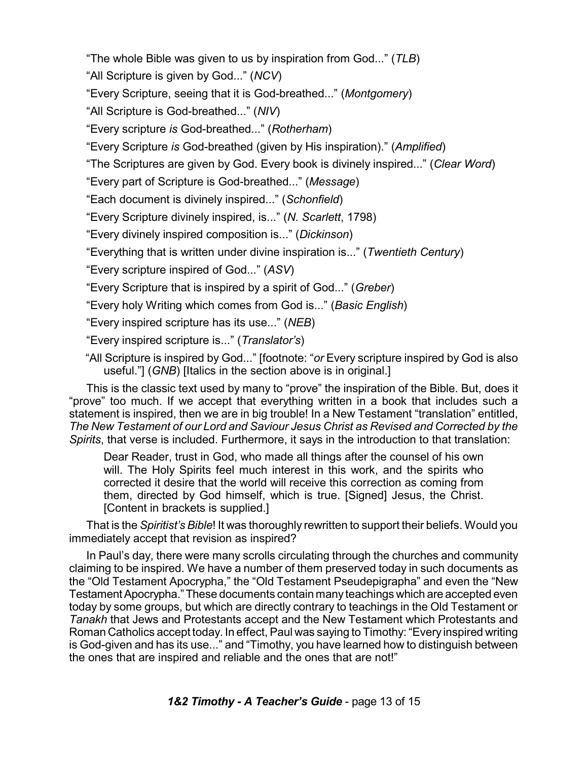"The whole Bible was given to us by inspiration from God..." (*TLB*)

"All Scripture is given by God..." (*NCV*)

"Every Scripture, seeing that it is God-breathed..." (*Montgomery*)

"All Scripture is God-breathed..." (*NIV*)

"Every scripture *is* God-breathed..." (*Rotherham*)

"Every Scripture *is* God-breathed (given by His inspiration)." (*Amplified*)

"The Scriptures are given by God. Every book is divinely inspired..." (*Clear Word*)

"Every part of Scripture is God-breathed..." (*Message*)

"Each document is divinely inspired..." (*Schonfield*)

"Every Scripture divinely inspired, is..." (*N. Scarlett*, 1798)

"Every divinely inspired composition is..." (*Dickinson*)

"Everything that is written under divine inspiration is..." (*Twentieth Century*)

"Every scripture inspired of God..." (*ASV*)

"Every Scripture that is inspired by a spirit of God..." (*Greber*)

"Every holy Writing which comes from God is..." (*Basic English*)

"Every inspired scripture has its use..." (*NEB*)

"Every inspired scripture is..." (*Translator's*)

"All Scripture is inspired by God..." [footnote: "*or* Every scripture inspired by God is also useful."] (*GNB*) [Italics in the section above is in original.]

This is the classic text used by many to "prove" the inspiration of the Bible. But, does it "prove" too much. If we accept that everything written in a book that includes such a statement is inspired, then we are in big trouble! In a New Testament "translation" entitled, *The New Testament of our Lord and Saviour Jesus Christ as Revised and Corrected by the Spirits*, that verse is included. Furthermore, it says in the introduction to that translation:

Dear Reader, trust in God, who made all things after the counsel of his own will. The Holy Spirits feel much interest in this work, and the spirits who corrected it desire that the world will receive this correction as coming from them, directed by God himself, which is true. [Signed] Jesus, the Christ. [Content in brackets is supplied.]

That is the *Spiritist's Bible*! It was thoroughly rewritten to support their beliefs. Would you immediately accept that revision as inspired?

In Paul's day, there were many scrolls circulating through the churches and community claiming to be inspired. We have a number of them preserved today in such documents as the "Old Testament Apocrypha," the "Old Testament Pseudepigrapha" and even the "New Testament Apocrypha." These documents contain many teachings which are accepted even today by some groups, but which are directly contrary to teachings in the Old Testament or *Tanakh* that Jews and Protestants accept and the New Testament which Protestants and Roman Catholics accept today. In effect, Paul was saying to Timothy: "Every inspired writing is God-given and has its use..." and "Timothy, you have learned how to distinguish between the ones that are inspired and reliable and the ones that are not!"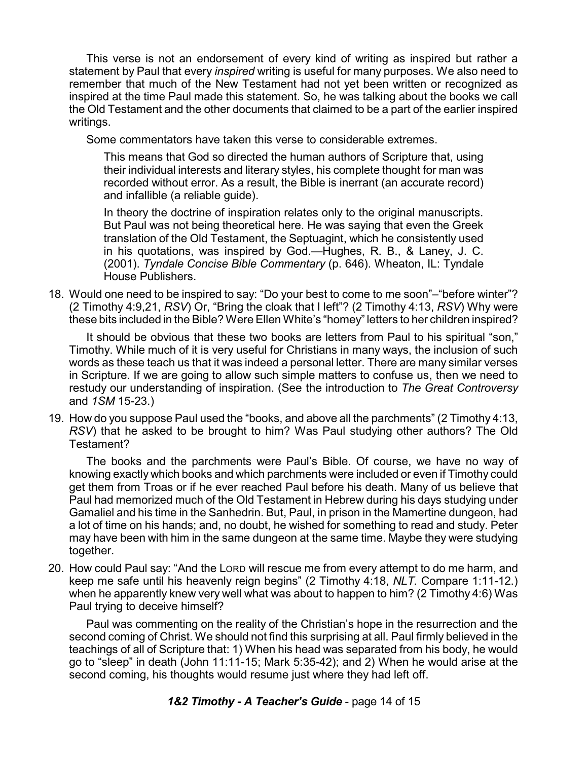This verse is not an endorsement of every kind of writing as inspired but rather a statement by Paul that every *inspired* writing is useful for many purposes. We also need to remember that much of the New Testament had not yet been written or recognized as inspired at the time Paul made this statement. So, he was talking about the books we call the Old Testament and the other documents that claimed to be a part of the earlier inspired writings.

Some commentators have taken this verse to considerable extremes.

This means that God so directed the human authors of Scripture that, using their individual interests and literary styles, his complete thought for man was recorded without error. As a result, the Bible is inerrant (an accurate record) and infallible (a reliable guide).

In theory the doctrine of inspiration relates only to the original manuscripts. But Paul was not being theoretical here. He was saying that even the Greek translation of the Old Testament, the Septuagint, which he consistently used in his quotations, was inspired by God.—Hughes, R. B., & Laney, J. C. (2001). *Tyndale Concise Bible Commentary* (p. 646). Wheaton, IL: Tyndale House Publishers.

18. Would one need to be inspired to say: "Do your best to come to me soon"–"before winter"? (2 Timothy 4:9,21, *RSV*) Or, "Bring the cloak that I left"? (2 Timothy 4:13, *RSV*) Why were these bits included in the Bible? Were Ellen White's "homey" letters to her children inspired?

It should be obvious that these two books are letters from Paul to his spiritual "son," Timothy. While much of it is very useful for Christians in many ways, the inclusion of such words as these teach us that it was indeed a personal letter. There are many similar verses in Scripture. If we are going to allow such simple matters to confuse us, then we need to restudy our understanding of inspiration. (See the introduction to *The Great Controversy* and *1SM* 15-23.)

19. How do you suppose Paul used the "books, and above all the parchments" (2 Timothy 4:13, *RSV*) that he asked to be brought to him? Was Paul studying other authors? The Old Testament?

The books and the parchments were Paul's Bible. Of course, we have no way of knowing exactly which books and which parchments were included or even if Timothy could get them from Troas or if he ever reached Paul before his death. Many of us believe that Paul had memorized much of the Old Testament in Hebrew during his days studying under Gamaliel and his time in the Sanhedrin. But, Paul, in prison in the Mamertine dungeon, had a lot of time on his hands; and, no doubt, he wished for something to read and study. Peter may have been with him in the same dungeon at the same time. Maybe they were studying together.

20. How could Paul say: "And the LORD will rescue me from every attempt to do me harm, and keep me safe until his heavenly reign begins" (2 Timothy 4:18, *NLT.* Compare 1:11-12.) when he apparently knew very well what was about to happen to him? (2 Timothy 4:6) Was Paul trying to deceive himself?

Paul was commenting on the reality of the Christian's hope in the resurrection and the second coming of Christ. We should not find this surprising at all. Paul firmly believed in the teachings of all of Scripture that: 1) When his head was separated from his body, he would go to "sleep" in death (John 11:11-15; Mark 5:35-42); and 2) When he would arise at the second coming, his thoughts would resume just where they had left off.